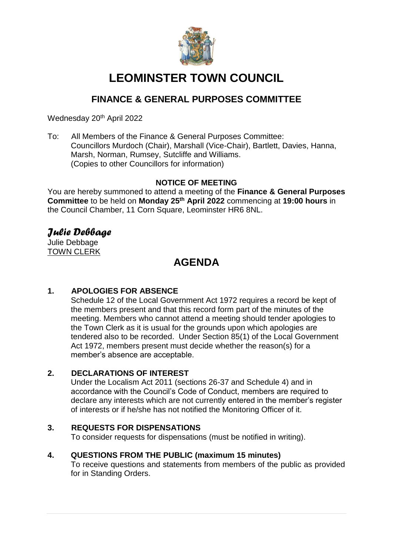

# **LEOMINSTER TOWN COUNCIL**

# **FINANCE & GENERAL PURPOSES COMMITTEE**

Wednesday 20<sup>th</sup> April 2022

To: All Members of the Finance & General Purposes Committee: Councillors Murdoch (Chair), Marshall (Vice-Chair), Bartlett, Davies, Hanna, Marsh, Norman, Rumsey, Sutcliffe and Williams. (Copies to other Councillors for information)

## **NOTICE OF MEETING**

You are hereby summoned to attend a meeting of the **Finance & General Purposes Committee** to be held on **Monday 25 th April 2022** commencing at **19:00 hours** in the Council Chamber, 11 Corn Square, Leominster HR6 8NL.

## *Julie Debbage*

Julie Debbage TOWN CLERK

# **AGENDA**

## **1. APOLOGIES FOR ABSENCE**

Schedule 12 of the Local Government Act 1972 requires a record be kept of the members present and that this record form part of the minutes of the meeting. Members who cannot attend a meeting should tender apologies to the Town Clerk as it is usual for the grounds upon which apologies are tendered also to be recorded. Under Section 85(1) of the Local Government Act 1972, members present must decide whether the reason(s) for a member's absence are acceptable.

## **2. DECLARATIONS OF INTEREST**

Under the Localism Act 2011 (sections 26-37 and Schedule 4) and in accordance with the Council's Code of Conduct, members are required to declare any interests which are not currently entered in the member's register of interests or if he/she has not notified the Monitoring Officer of it.

## **3. REQUESTS FOR DISPENSATIONS**

To consider requests for dispensations (must be notified in writing).

## **4. QUESTIONS FROM THE PUBLIC (maximum 15 minutes)**

To receive questions and statements from members of the public as provided for in Standing Orders.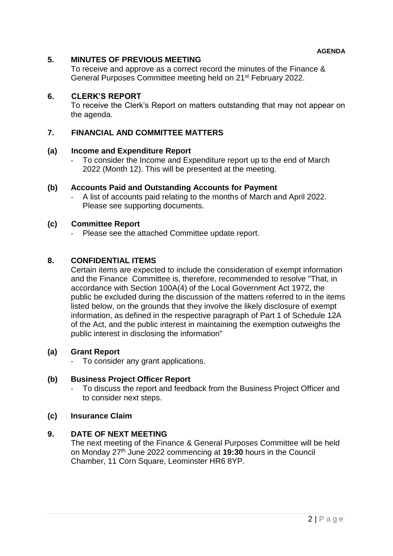### **5. MINUTES OF PREVIOUS MEETING**

To receive and approve as a correct record the minutes of the Finance & General Purposes Committee meeting held on 21st February 2022.

#### **6. CLERK'S REPORT**

To receive the Clerk's Report on matters outstanding that may not appear on the agenda.

#### **7. FINANCIAL AND COMMITTEE MATTERS**

#### **(a) Income and Expenditure Report**

To consider the Income and Expenditure report up to the end of March 2022 (Month 12). This will be presented at the meeting.

#### **(b) Accounts Paid and Outstanding Accounts for Payment**

- A list of accounts paid relating to the months of March and April 2022. Please see supporting documents.

#### **(c) Committee Report**

Please see the attached Committee update report.

#### **8. CONFIDENTIAL ITEMS**

Certain items are expected to include the consideration of exempt information and the Finance Committee is, therefore, recommended to resolve "That, in accordance with Section 100A(4) of the Local Government Act 1972, the public be excluded during the discussion of the matters referred to in the items listed below, on the grounds that they involve the likely disclosure of exempt information, as defined in the respective paragraph of Part 1 of Schedule 12A of the Act, and the public interest in maintaining the exemption outweighs the public interest in disclosing the information"

#### **(a) Grant Report**

To consider any grant applications.

#### **(b) Business Project Officer Report**

To discuss the report and feedback from the Business Project Officer and to consider next steps.

#### **(c) Insurance Claim**

#### **9. DATE OF NEXT MEETING**

The next meeting of the Finance & General Purposes Committee will be held on Monday 27th June 2022 commencing at **19:30** hours in the Council Chamber, 11 Corn Square, Leominster HR6 8YP.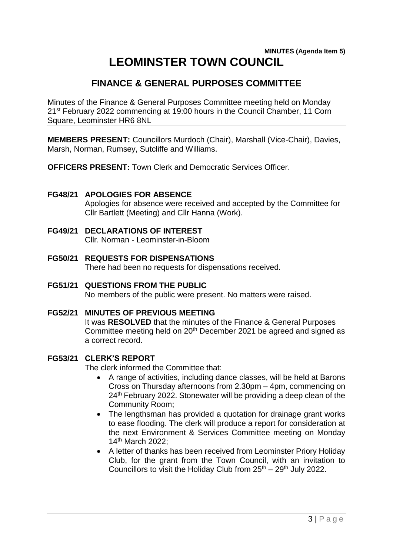## **MINUTES (Agenda Item 5) LEOMINSTER TOWN COUNCIL**

# **FINANCE & GENERAL PURPOSES COMMITTEE**

Minutes of the Finance & General Purposes Committee meeting held on Monday 21<sup>st</sup> February 2022 commencing at 19:00 hours in the Council Chamber, 11 Corn Square, Leominster HR6 8NL

**MEMBERS PRESENT:** Councillors Murdoch (Chair), Marshall (Vice-Chair), Davies, Marsh, Norman, Rumsey, Sutcliffe and Williams.

**OFFICERS PRESENT:** Town Clerk and Democratic Services Officer.

## **FG48/21 APOLOGIES FOR ABSENCE**

Apologies for absence were received and accepted by the Committee for Cllr Bartlett (Meeting) and Cllr Hanna (Work).

- **FG49/21 DECLARATIONS OF INTEREST** Cllr. Norman - Leominster-in-Bloom
- **FG50/21 REQUESTS FOR DISPENSATIONS** There had been no requests for dispensations received.
- **FG51/21 QUESTIONS FROM THE PUBLIC** No members of the public were present. No matters were raised.
- **FG52/21 MINUTES OF PREVIOUS MEETING** It was **RESOLVED** that the minutes of the Finance & General Purposes Committee meeting held on 20<sup>th</sup> December 2021 be agreed and signed as a correct record.

## **FG53/21 CLERK'S REPORT**

The clerk informed the Committee that:

- A range of activities, including dance classes, will be held at Barons Cross on Thursday afternoons from 2.30pm – 4pm, commencing on 24<sup>th</sup> February 2022. Stonewater will be providing a deep clean of the Community Room;
- The lengthsman has provided a quotation for drainage grant works to ease flooding. The clerk will produce a report for consideration at the next Environment & Services Committee meeting on Monday 14th March 2022;
- A letter of thanks has been received from Leominster Priory Holiday Club, for the grant from the Town Council, with an invitation to Councillors to visit the Holiday Club from  $25<sup>th</sup> - 29<sup>th</sup>$  July 2022.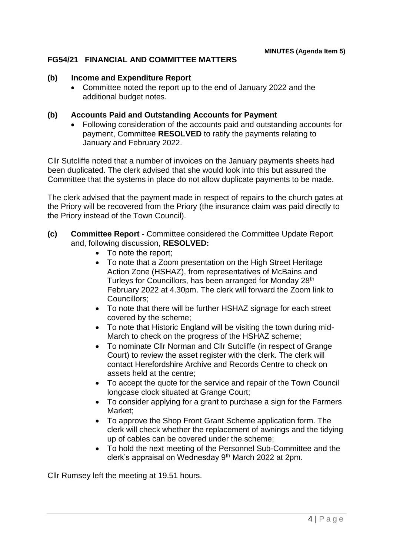## **FG54/21 FINANCIAL AND COMMITTEE MATTERS**

#### **(b) Income and Expenditure Report**

 Committee noted the report up to the end of January 2022 and the additional budget notes.

#### **(b) Accounts Paid and Outstanding Accounts for Payment**

 Following consideration of the accounts paid and outstanding accounts for payment, Committee **RESOLVED** to ratify the payments relating to January and February 2022.

Cllr Sutcliffe noted that a number of invoices on the January payments sheets had been duplicated. The clerk advised that she would look into this but assured the Committee that the systems in place do not allow duplicate payments to be made.

The clerk advised that the payment made in respect of repairs to the church gates at the Priory will be recovered from the Priory (the insurance claim was paid directly to the Priory instead of the Town Council).

- **(c) Committee Report** Committee considered the Committee Update Report and, following discussion, **RESOLVED:**
	- To note the report;
	- To note that a Zoom presentation on the High Street Heritage Action Zone (HSHAZ), from representatives of McBains and Turleys for Councillors, has been arranged for Monday 28<sup>th</sup> February 2022 at 4.30pm. The clerk will forward the Zoom link to Councillors;
	- To note that there will be further HSHAZ signage for each street covered by the scheme;
	- To note that Historic England will be visiting the town during mid-March to check on the progress of the HSHAZ scheme;
	- To nominate Cllr Norman and Cllr Sutcliffe (in respect of Grange Court) to review the asset register with the clerk. The clerk will contact Herefordshire Archive and Records Centre to check on assets held at the centre;
	- To accept the quote for the service and repair of the Town Council longcase clock situated at Grange Court;
	- To consider applying for a grant to purchase a sign for the Farmers Market;
	- To approve the Shop Front Grant Scheme application form. The clerk will check whether the replacement of awnings and the tidying up of cables can be covered under the scheme;
	- To hold the next meeting of the Personnel Sub-Committee and the clerk's appraisal on Wednesday 9th March 2022 at 2pm.

Cllr Rumsey left the meeting at 19.51 hours.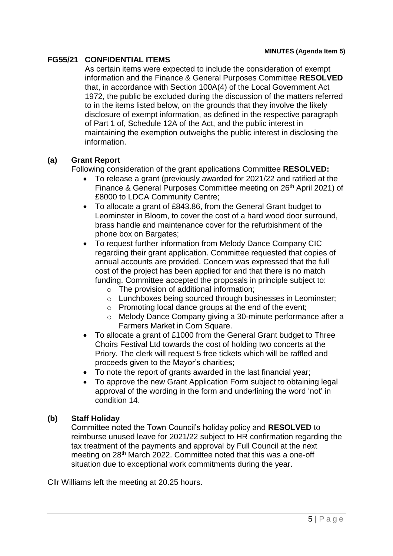## **FG55/21 CONFIDENTIAL ITEMS**

As certain items were expected to include the consideration of exempt information and the Finance & General Purposes Committee **RESOLVED**  that, in accordance with Section 100A(4) of the Local Government Act 1972, the public be excluded during the discussion of the matters referred to in the items listed below, on the grounds that they involve the likely disclosure of exempt information, as defined in the respective paragraph of Part 1 of, Schedule 12A of the Act, and the public interest in maintaining the exemption outweighs the public interest in disclosing the information.

## **(a) Grant Report**

Following consideration of the grant applications Committee **RESOLVED:**

- To release a grant (previously awarded for 2021/22 and ratified at the Finance & General Purposes Committee meeting on 26<sup>th</sup> April 2021) of £8000 to LDCA Community Centre;
- To allocate a grant of £843.86, from the General Grant budget to Leominster in Bloom, to cover the cost of a hard wood door surround, brass handle and maintenance cover for the refurbishment of the phone box on Bargates;
- To request further information from Melody Dance Company CIC regarding their grant application. Committee requested that copies of annual accounts are provided. Concern was expressed that the full cost of the project has been applied for and that there is no match funding. Committee accepted the proposals in principle subject to:
	- $\circ$  The provision of additional information;
	- o Lunchboxes being sourced through businesses in Leominster;
	- o Promoting local dance groups at the end of the event;
	- o Melody Dance Company giving a 30-minute performance after a Farmers Market in Corn Square.
- To allocate a grant of £1000 from the General Grant budget to Three Choirs Festival Ltd towards the cost of holding two concerts at the Priory. The clerk will request 5 free tickets which will be raffled and proceeds given to the Mayor's charities;
- To note the report of grants awarded in the last financial year:
- To approve the new Grant Application Form subject to obtaining legal approval of the wording in the form and underlining the word 'not' in condition 14.

## **(b) Staff Holiday**

Committee noted the Town Council's holiday policy and **RESOLVED** to reimburse unused leave for 2021/22 subject to HR confirmation regarding the tax treatment of the payments and approval by Full Council at the next meeting on 28th March 2022. Committee noted that this was a one-off situation due to exceptional work commitments during the year.

Cllr Williams left the meeting at 20.25 hours.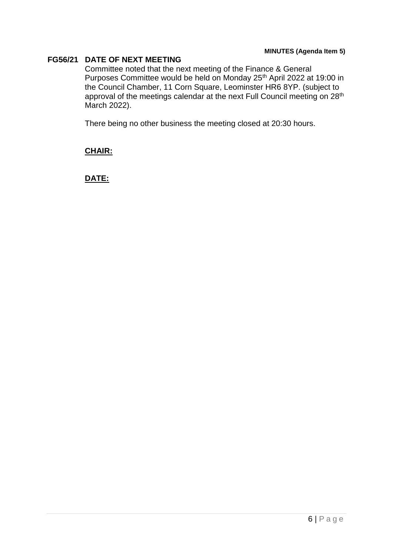#### **MINUTES (Agenda Item 5)**

#### **FG56/21 DATE OF NEXT MEETING**

Committee noted that the next meeting of the Finance & General Purposes Committee would be held on Monday 25<sup>th</sup> April 2022 at 19:00 in the Council Chamber, 11 Corn Square, Leominster HR6 8YP. (subject to approval of the meetings calendar at the next Full Council meeting on 28<sup>th</sup> March 2022).

There being no other business the meeting closed at 20:30 hours.

#### **CHAIR:**

**DATE:**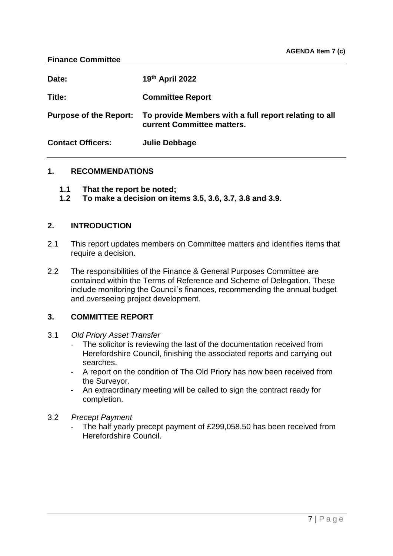#### **Finance Committee**

| Date:                         | 19th April 2022                                                                     |
|-------------------------------|-------------------------------------------------------------------------------------|
| Title:                        | <b>Committee Report</b>                                                             |
| <b>Purpose of the Report:</b> | To provide Members with a full report relating to all<br>current Committee matters. |
| <b>Contact Officers:</b>      | Julie Debbage                                                                       |

## **1. RECOMMENDATIONS**

- **1.1 That the report be noted;**
- **1.2 To make a decision on items 3.5, 3.6, 3.7, 3.8 and 3.9.**

#### **2. INTRODUCTION**

- 2.1 This report updates members on Committee matters and identifies items that require a decision.
- 2.2 The responsibilities of the Finance & General Purposes Committee are contained within the Terms of Reference and Scheme of Delegation. These include monitoring the Council's finances, recommending the annual budget and overseeing project development.

## **3. COMMITTEE REPORT**

- 3.1 *Old Priory Asset Transfer*
	- The solicitor is reviewing the last of the documentation received from Herefordshire Council, finishing the associated reports and carrying out searches.
	- A report on the condition of The Old Priory has now been received from the Surveyor.
	- An extraordinary meeting will be called to sign the contract ready for completion.

## 3.2 *Precept Payment*

The half yearly precept payment of £299,058.50 has been received from Herefordshire Council.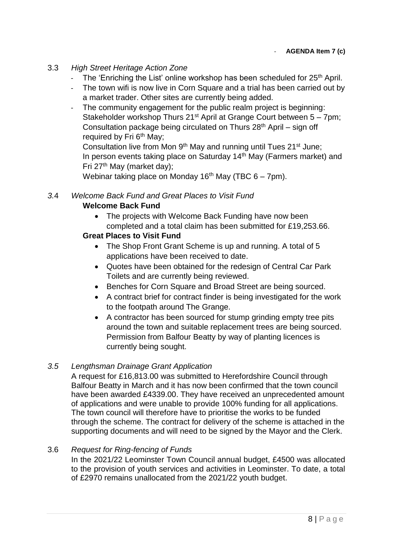## 3.3 *High Street Heritage Action Zone*

- The 'Enriching the List' online workshop has been scheduled for  $25<sup>th</sup>$  April.
- The town wifi is now live in Corn Square and a trial has been carried out by a market trader. Other sites are currently being added.
- The community engagement for the public realm project is beginning: Stakeholder workshop Thurs  $21^{st}$  April at Grange Court between  $5 - 7$ pm; Consultation package being circulated on Thurs  $28<sup>th</sup>$  April – sign off required by Fri 6<sup>th</sup> May;

Consultation live from Mon  $9<sup>th</sup>$  May and running until Tues 21 $<sup>st</sup>$  June;</sup> In person events taking place on Saturday 14<sup>th</sup> May (Farmers market) and Fri 27<sup>th</sup> May (market day);

Webinar taking place on Monday 16<sup>th</sup> May (TBC  $6 - 7$ pm).

# *3.*4 *Welcome Back Fund and Great Places to Visit Fund*

## **Welcome Back Fund**

• The projects with Welcome Back Funding have now been completed and a total claim has been submitted for £19,253.66.

## **Great Places to Visit Fund**

- The Shop Front Grant Scheme is up and running. A total of 5 applications have been received to date.
- Quotes have been obtained for the redesign of Central Car Park Toilets and are currently being reviewed.
- Benches for Corn Square and Broad Street are being sourced.
- A contract brief for contract finder is being investigated for the work to the footpath around The Grange.
- A contractor has been sourced for stump grinding empty tree pits around the town and suitable replacement trees are being sourced. Permission from Balfour Beatty by way of planting licences is currently being sought.

## *3.5 Lengthsman Drainage Grant Application*

A request for £16,813.00 was submitted to Herefordshire Council through Balfour Beatty in March and it has now been confirmed that the town council have been awarded £4339.00. They have received an unprecedented amount of applications and were unable to provide 100% funding for all applications. The town council will therefore have to prioritise the works to be funded through the scheme. The contract for delivery of the scheme is attached in the supporting documents and will need to be signed by the Mayor and the Clerk.

## 3.6 *Request for Ring-fencing of Funds*

In the 2021/22 Leominster Town Council annual budget, £4500 was allocated to the provision of youth services and activities in Leominster. To date, a total of £2970 remains unallocated from the 2021/22 youth budget.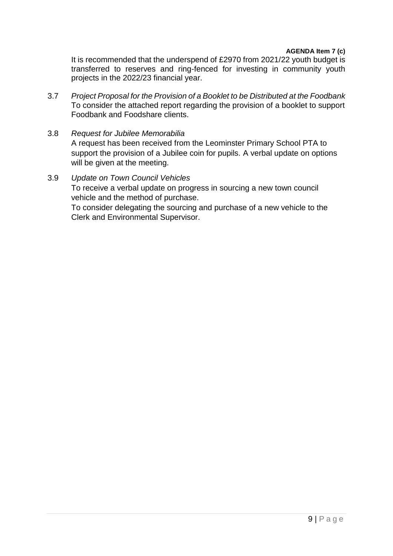It is recommended that the underspend of £2970 from 2021/22 youth budget is transferred to reserves and ring-fenced for investing in community youth projects in the 2022/23 financial year.

3.7 *Project Proposal for the Provision of a Booklet to be Distributed at the Foodbank* To consider the attached report regarding the provision of a booklet to support Foodbank and Foodshare clients.

# 3.8 *Request for Jubilee Memorabilia*

A request has been received from the Leominster Primary School PTA to support the provision of a Jubilee coin for pupils. A verbal update on options will be given at the meeting.

## 3.9 *Update on Town Council Vehicles*

To receive a verbal update on progress in sourcing a new town council vehicle and the method of purchase.

To consider delegating the sourcing and purchase of a new vehicle to the Clerk and Environmental Supervisor.